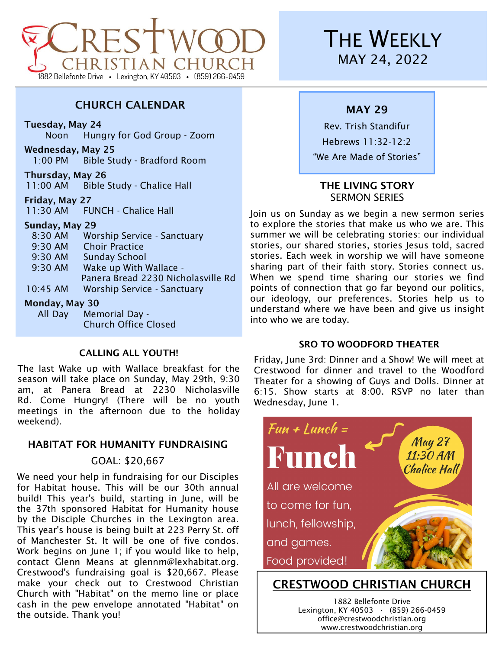

# CHURCH CALENDAR

Tuesday, May 24

Noon Hungry for God Group - Zoom

Wednesday, May 25 1:00 PM Bible Study - Bradford Room

Thursday, May 26 11:00 AM Bible Study - Chalice Hall

Friday, May 27 11:30 AM FUNCH - Chalice Hall

### Sunday, May 29

| $M$ andari $M$ ari $20$ |                                    |
|-------------------------|------------------------------------|
| 10:45 AM                | <b>Worship Service - Sanctuary</b> |
|                         | Panera Bread 2230 Nicholasville Rd |
| 9:30 AM                 | Wake up With Wallace -             |
| 9:30 AM                 | <b>Sunday School</b>               |
| 9:30 AM                 | <b>Choir Practice</b>              |
| 8:30 AM                 | <b>Worship Service - Sanctuary</b> |
|                         |                                    |

#### Monday, May 30

All Day Memorial Day - Church Office Closed

### CALLING ALL YOUTH!

The last Wake up with Wallace breakfast for the season will take place on Sunday, May 29th, 9:30 am, at Panera Bread at 2230 Nicholasville Rd. Come Hungry! (There will be no youth meetings in the afternoon due to the holiday weekend).

#### HABITAT FOR HUMANITY FUNDRAISING

## GOAL: \$20,667

We need your help in fundraising for our Disciples for Habitat house. This will be our 30th annual build! This year's build, starting in June, will be the 37th sponsored Habitat for Humanity house by the Disciple Churches in the Lexington area. This year's house is being built at 223 Perry St. off of Manchester St. It will be one of five condos. Work begins on June 1; if you would like to help, contact Glenn Means at glennm@lexhabitat.org. Crestwood's fundraising goal is \$20,667. Please make your check out to Crestwood Christian Church with "Habitat" on the memo line or place cash in the pew envelope annotated "Habitat" on the outside. Thank you!

# **THE WEEKLY** MAY 24, 2022

# MAY 29

Rev. Trish Standifur Hebrews 11:32-12:2 "We Are Made of Stories"

## THE LIVING STORY SERMON SERIES

Join us on Sunday as we begin a new sermon series to explore the stories that make us who we are. This summer we will be celebrating stories: our individual stories, our shared stories, stories Jesus told, sacred stories. Each week in worship we will have someone sharing part of their faith story. Stories connect us. When we spend time sharing our stories we find points of connection that go far beyond our politics, our ideology, our preferences. Stories help us to understand where we have been and give us insight into who we are today.

#### SRO TO WOODFORD THEATER

Friday, June 3rd: Dinner and a Show! We will meet at Crestwood for dinner and travel to the Woodford Theater for a showing of Guys and Dolls. Dinner at 6:15. Show starts at 8:00. RSVP no later than Wednesday, June 1.



# CRESTWOOD CHRISTIAN CHURCH

1882 Bellefonte Drive Lexington, KY 40503 **·** (859) 266-0459 office@crestwoodchristian.org www.crestwoodchristian.org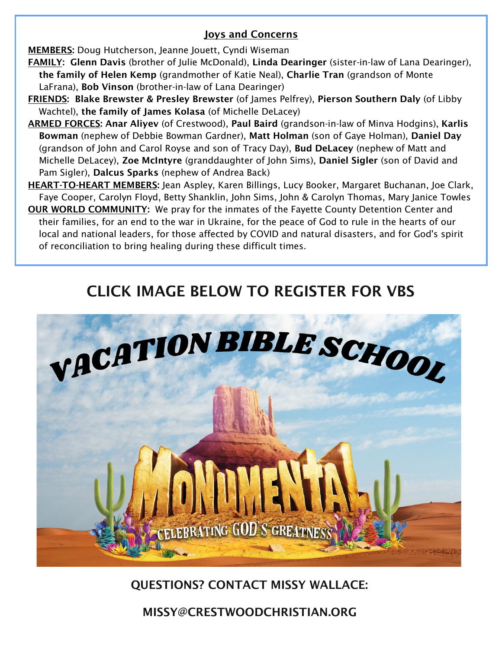# Joys and Concerns

**MEMBERS:** Doug Hutcherson, Jeanne Jouett, Cyndi Wiseman

- FAMILY: Glenn Davis (brother of Julie McDonald), Linda Dearinger (sister-in-law of Lana Dearinger), the family of Helen Kemp (grandmother of Katie Neal), Charlie Tran (grandson of Monte LaFrana), Bob Vinson (brother-in-law of Lana Dearinger)
- FRIENDS: Blake Brewster & Presley Brewster (of James Pelfrey), Pierson Southern Daly (of Libby Wachtel), the family of James Kolasa (of Michelle DeLacey)
- ARMED FORCES: Anar Aliyev (of Crestwood), Paul Baird (grandson-in-law of Minva Hodgins), Karlis Bowman (nephew of Debbie Bowman Gardner), Matt Holman (son of Gaye Holman), Daniel Day (grandson of John and Carol Royse and son of Tracy Day), Bud DeLacey (nephew of Matt and Michelle DeLacey), Zoe McIntyre (granddaughter of John Sims), Daniel Sigler (son of David and Pam Sigler), Dalcus Sparks (nephew of Andrea Back)
- HEART-TO-HEART MEMBERS: Jean Aspley, Karen Billings, Lucy Booker, Margaret Buchanan, Joe Clark, Faye Cooper, Carolyn Floyd, Betty Shanklin, John Sims, John & Carolyn Thomas, Mary Janice Towles
- **OUR WORLD COMMUNITY:** We pray for the inmates of the Fayette County Detention Center and their families, for an end to the war in Ukraine, for the peace of God to rule in the hearts of our local and national leaders, for those affected by COVID and natural disasters, and for God's spirit of reconciliation to bring healing during these difficult times.

# CLICK IMAGE BELOW TO REGISTER FOR VBS



# QUESTIONS? CONTACT MISSY WALLACE:

MISSY@CRESTWOODCHRISTIAN.ORG